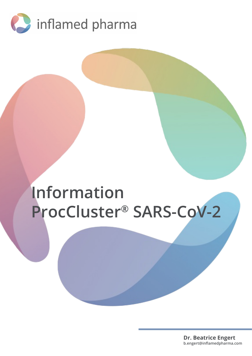

# **Information ProcCluster® SARS-CoV-2**

**Dr. Beatrice Engert b.engert@inflamedpharma.com**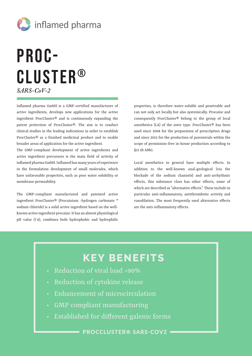

## Proc-Cluster® *SARS-CoV-2*

Inflamed pharma GmbH is a GMP-certified manufacturer of active ingredients, develops new applications for the active ingredient ProcCluster® and is continuously expanding the patent protection of ProcCluster®. The aim is to conduct clinical studies in the leading indications in order to establish ProcCluster® as a finished medicinal product and to enable broader areas of application for the active ingredient.

The GMP-compliant development of active ingredients and active ingredient precursors is the main field of activity of inflamed pharma GmbH. Inflamed has many years of experience in the formulation development of small molecules, which have unfavorable properties, such as poor water solubility or membrane permeability.

The GMP-compliant manufactured and patented active ingredient ProcCluster® (Procainium -hydrogen carbonate \* sodium chloride) is a solid active ingredient based on the wellknown active ingredient procaine. It has an almost physiological pH value (7.6), combines both hydrophobic and hydrophilic properties, is therefore water-soluble and penetrable and can not only act locally but also systemically. Procaine and consequently ProcCluster® belong to the group of local anesthetics (LA) of the ester type. ProcCluster® has been used since 2008 for the preparation of prescription drugs and since 2012 for the production of parenterals within the scope of permission-free in-house production according to §13 2b AMG.

Local anesthetics in general have multiple effects. In addition to the well-known anal-geological (via the blockade of the sodium channels) and anti-arrhythmic effects, this substance class has other effects, some of which are described as "alternative effects". These include in particular anti-inflammatory, antithrombotic activity and vasodilation. The most frequently used alternative effects are the anti-inflammatory effects.

#### **KEY BENEFITS**

- Reduction of viral load >90%
- Reduction of cytokine release
- Enhancement of microcirculation
- GMP compliant manufacturing
- Established for different galenic forms

PROCCLUSTER® SARS-COV2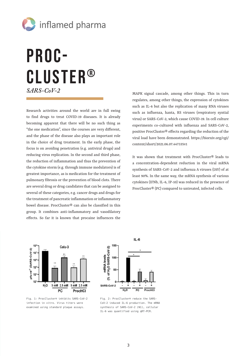

## Proc-Cluster® *SARS-CoV-2*

Research activities around the world are in full swing to find drugs to treat COVID-19 diseases. It is already becoming apparent that there will be no such thing as "the one medication", since the courses are very different, and the phase of the disease also plays an important role in the choice of drug treatment. In the early phase, the focus is on avoiding penetration (e.g. antiviral drugs) and reducing virus replication. In the second and third phase, the reduction of inflammation and thus the prevention of the cytokine storm (e.g. through immune modulators) is of greatest importance, as is medication for the treatment of pulmonary fibrosis or the prevention of blood clots. There are several drug or drug candidates that can be assigned to several of these categories, e.g. cancer drugs and drugs for the treatment of pancreatic inflammation or inflammatory bowel disease. ProcCluster® can also be classified in this group. It combines anti-inflammatory and vasodilatory effects. So far it is known that procaine influences the

MAPK signal cascade, among other things. This in turn regulates, among other things, the expression of cytokines such as IL-6 but also the replication of many RNA viruses such as influenza, hanta, RS viruses (respiratory syntial virus) or SARS-CoV-2, which cause COVID-19. In cell culture experiments co-cultured with influenza and SARS-CoV-2, positive ProcCluster® effects regarding the reduction of the viral load have been demonstrated. https://biorxiv.org/cgi/ content/short/2021.06.07.447335v1

It was shown that treatment with ProcCluster® leads to a concentration-dependent reduction in the viral mRNA synthesis of SARS-CoV-2 and influenza A viruses (IAV) of at least 90%. In the same way, the mRNA synthesis of various cytokines (IFNb, IL-6, IP-10) was reduced in the presence of ProcCluster® (PC) compared to untreated, infected cells.



Fig. 1: ProcCluster® inhibits SARS-CoV-2 infection in vitro. Virus titers were examined using standard plaque assays.



Fig. 2: ProcCluster® reduce the SARS-CoV-2 induced IL-6 production. The mRNA synthesis of SARS-CoV-2 (N1), cellular IL-6 was quantified using qRT-PCR.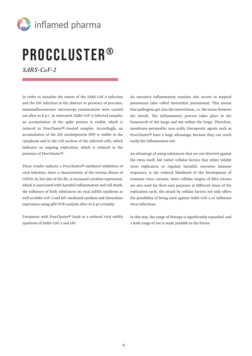

# ProcCluster®

*SARS-CoV-2* 

In order to visualize the extent of the SARS-CoV-2 infection and the IAV infection in the absence or presence of procaine, immunofluorescence microscopy examinations were carried out after 24 h p.i.. In untreated, SARS-CoV-2-infected samples, an accumulation of the spike protein is visible, which is reduced in ProcCluster®-treated samples. Accordingly, an accumulation of the IAV nucleoprotein (NP) is visible in the cytoplasm and in the cell nucleus of the infected cells, which indicates an ongoing replication, which is reduced in the presence of ProcCluster®.

These results indicate a ProcCluster®-mediated inhibition of viral infection. Since a characteristic of the serious illness of COVID-19, but also of the flu, is increased cytokine expression, which is associated with harmful inflammation and cell death, the influence of both substances on viral mRNA synthesis as well as SARS-CoV-2 and IAV-mediated cytokine and chemokine expression using qRT-PCR analysis after 24 h pi certainly.

Treatment with ProcCluster® leads to a reduced viral mRNA synthesis of SARS-CoV-2 and IAV.

An excessive inflammatory reaction also occurs in atypical pneumonia (also called interstitial pneumonia). This means that pathogens get into the interstitium, i.e. the tissue between the alveoli. The inflammatory process takes place in the framework of the lungs and not within the lungs. Therefore, membrane-permeable, non-acidic therapeutic agents such as ProcCluster® have a huge advantage, because they can reach easily the inflammation site.

An advantage of using substances that are not directed against the virus itself, but rather cellular factors that either inhibit virus replication or regulate harmful, excessive immune responses, is the reduced likelihood of the development of resistant virus variants. Since cellular targets of RNA viruses are also used for their own purposes at different times of the replication cycle, the attack by cellular factors not only offers the possibility of being used against SARS-CoV-2 or influenza virus infections.

In this way, the range of therapy is significantly expanded, and a wide range of use is made possible in the future.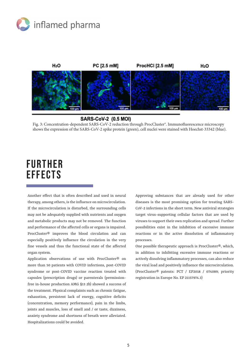



#### **SARS-CoV-2 (0.5 MOI)**

Fig. 3: Concentration-dependent SARS-CoV-2 reduction through ProcCluster®. Immunofluorescence microscopy shows the expression of the SARS-CoV-2 spike protein (green), cell nuclei were stained with Hoechst-33342 (blue).

### **FURTHER EFFECTS**

Another effect that is often described and used in neural therapy, among others, is the influence on microcirculation. If the microcirculation is disturbed, the surrounding cells may not be adequately supplied with nutrients and oxygen and metabolic products may not be removed. The function and performance of the affected cells or organs is impaired. ProcCluster® improves the blood circulation and can especially positively influence the circulation in the very fine vessels and thus the functional state of the affected organ system.

Application observations of use with ProcCluster® on more than 50 patients with COVID infections, post-COVID syndrome or post-COVID vaccine reaction treated with capsules (prescription drugs) or parenterals (permissionfree in-house production AMG §13 2b) showed a success of the treatment. Physical complaints such as chronic fatigue, exhaustion, persistent lack of energy, cognitive deficits (concentration, memory performance), pain in the limbs, joints and muscles, loss of smell and / or taste, dizziness, anxiety syndrome and shortness of breath were alleviated. Hospitalizations could be avoided.

Approving substances that are already used for other diseases is the most promising option for treating SARS-CoV-2 infections in the short term. New antiviral strategies target virus-supporting cellular factors that are used by viruses to support their own replication and spread. Further possibilities exist in the inhibition of excessive immune reactions or in the active dissolution of inflammatory processes.

One possible therapeutic approach is ProcCluster®, which, in addition to inhibiting excessive immune reactions or actively dissolving inflammatory processes, can also reduce the viral load and positively influence the microcirculation. (ProcCluster® patents: PCT / EP2018 / 074089; priority registration in Europe No. EP 21157974.3)